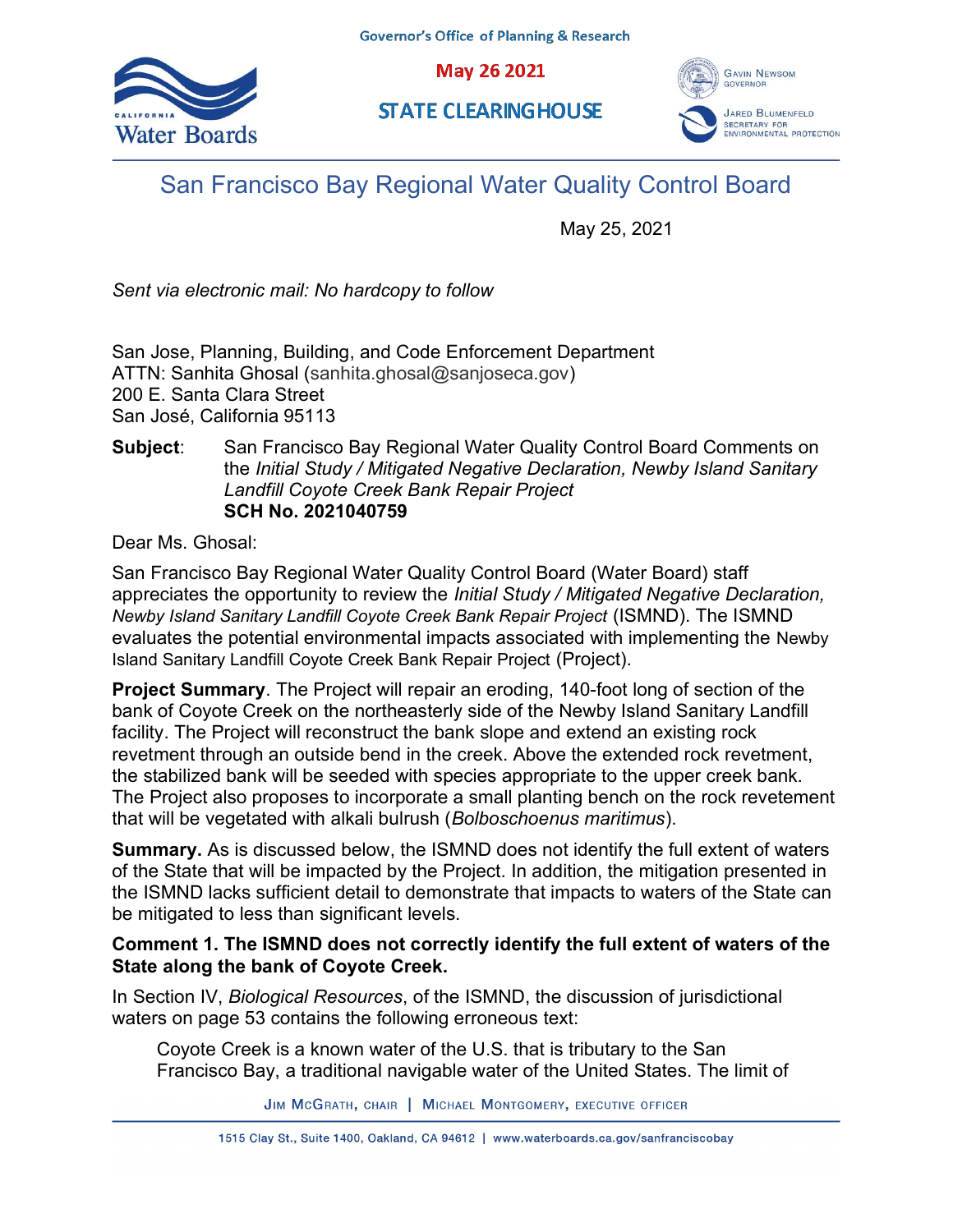May 26 2021







# San Francisco Bay Regional Water Quality Control Board

May 25, 2021

Sent via electronic mail: No hardcopy to follow

San Jose, Planning, Building, and Code Enforcement Department ATTN: Sanhita Ghosal (sanhita.ghosal@sanjoseca.gov) 200 E. Santa Clara Street San José, California 95113

## Subject: San Francisco Bay Regional Water Quality Control Board Comments on the Initial Study / Mitigated Negative Declaration, Newby Island Sanitary Landfill Coyote Creek Bank Repair Project SCH No. 2021040759

Dear Ms. Ghosal:

San Francisco Bay Regional Water Quality Control Board (Water Board) staff appreciates the opportunity to review the Initial Study / Mitigated Negative Declaration, Newby Island Sanitary Landfill Coyote Creek Bank Repair Project (ISMND). The ISMND evaluates the potential environmental impacts associated with implementing the Newby Island Sanitary Landfill Coyote Creek Bank Repair Project (Project).

Project Summary. The Project will repair an eroding, 140-foot long of section of the bank of Coyote Creek on the northeasterly side of the Newby Island Sanitary Landfill facility. The Project will reconstruct the bank slope and extend an existing rock revetment through an outside bend in the creek. Above the extended rock revetment, the stabilized bank will be seeded with species appropriate to the upper creek bank. The Project also proposes to incorporate a small planting bench on the rock revetement that will be vegetated with alkali bulrush (Bolboschoenus maritimus).

Summary. As is discussed below, the ISMND does not identify the full extent of waters of the State that will be impacted by the Project. In addition, the mitigation presented in the ISMND lacks sufficient detail to demonstrate that impacts to waters of the State can be mitigated to less than significant levels.

## Comment 1. The ISMND does not correctly identify the full extent of waters of the State along the bank of Coyote Creek.

In Section IV, Biological Resources, of the ISMND, the discussion of jurisdictional waters on page 53 contains the following erroneous text:

Coyote Creek is a known water of the U.S. that is tributary to the San Francisco Bay, a traditional navigable water of the United States. The limit of

JIM MCGRATH, CHAIR | MICHAEL MONTGOMERY, EXECUTIVE OFFICER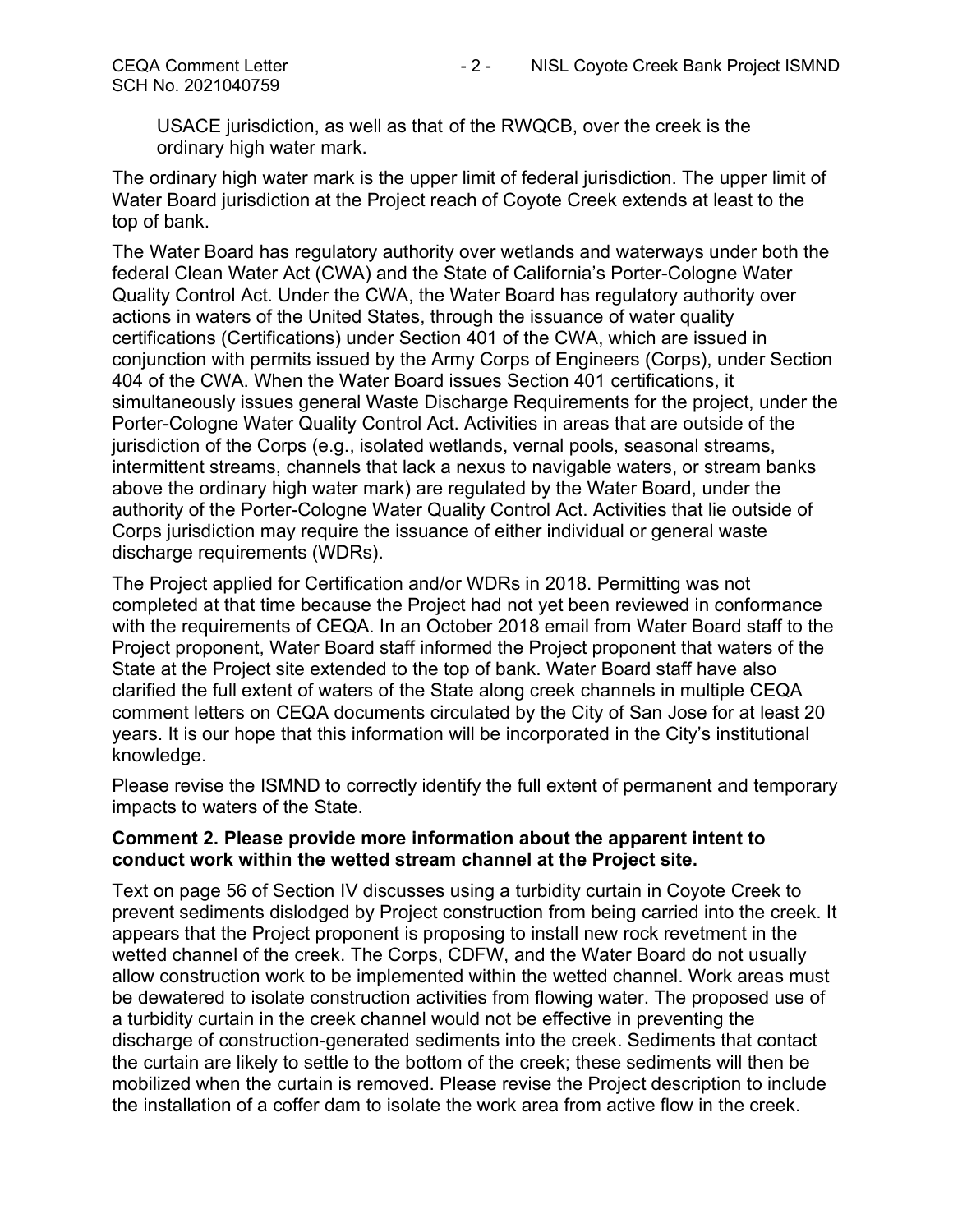USACE jurisdiction, as well as that of the RWQCB, over the creek is the ordinary high water mark.

The ordinary high water mark is the upper limit of federal jurisdiction. The upper limit of Water Board jurisdiction at the Project reach of Coyote Creek extends at least to the top of bank.

The Water Board has regulatory authority over wetlands and waterways under both the federal Clean Water Act (CWA) and the State of California's Porter-Cologne Water Quality Control Act. Under the CWA, the Water Board has regulatory authority over actions in waters of the United States, through the issuance of water quality certifications (Certifications) under Section 401 of the CWA, which are issued in conjunction with permits issued by the Army Corps of Engineers (Corps), under Section 404 of the CWA. When the Water Board issues Section 401 certifications, it simultaneously issues general Waste Discharge Requirements for the project, under the Porter-Cologne Water Quality Control Act. Activities in areas that are outside of the jurisdiction of the Corps (e.g., isolated wetlands, vernal pools, seasonal streams, intermittent streams, channels that lack a nexus to navigable waters, or stream banks above the ordinary high water mark) are regulated by the Water Board, under the authority of the Porter-Cologne Water Quality Control Act. Activities that lie outside of Corps jurisdiction may require the issuance of either individual or general waste discharge requirements (WDRs).

The Project applied for Certification and/or WDRs in 2018. Permitting was not completed at that time because the Project had not yet been reviewed in conformance with the requirements of CEQA. In an October 2018 email from Water Board staff to the Project proponent, Water Board staff informed the Project proponent that waters of the State at the Project site extended to the top of bank. Water Board staff have also clarified the full extent of waters of the State along creek channels in multiple CEQA comment letters on CEQA documents circulated by the City of San Jose for at least 20 years. It is our hope that this information will be incorporated in the City's institutional knowledge.

Please revise the ISMND to correctly identify the full extent of permanent and temporary impacts to waters of the State.

## Comment 2. Please provide more information about the apparent intent to conduct work within the wetted stream channel at the Project site.

Text on page 56 of Section IV discusses using a turbidity curtain in Coyote Creek to prevent sediments dislodged by Project construction from being carried into the creek. It appears that the Project proponent is proposing to install new rock revetment in the wetted channel of the creek. The Corps, CDFW, and the Water Board do not usually allow construction work to be implemented within the wetted channel. Work areas must be dewatered to isolate construction activities from flowing water. The proposed use of a turbidity curtain in the creek channel would not be effective in preventing the discharge of construction-generated sediments into the creek. Sediments that contact the curtain are likely to settle to the bottom of the creek; these sediments will then be mobilized when the curtain is removed. Please revise the Project description to include the installation of a coffer dam to isolate the work area from active flow in the creek.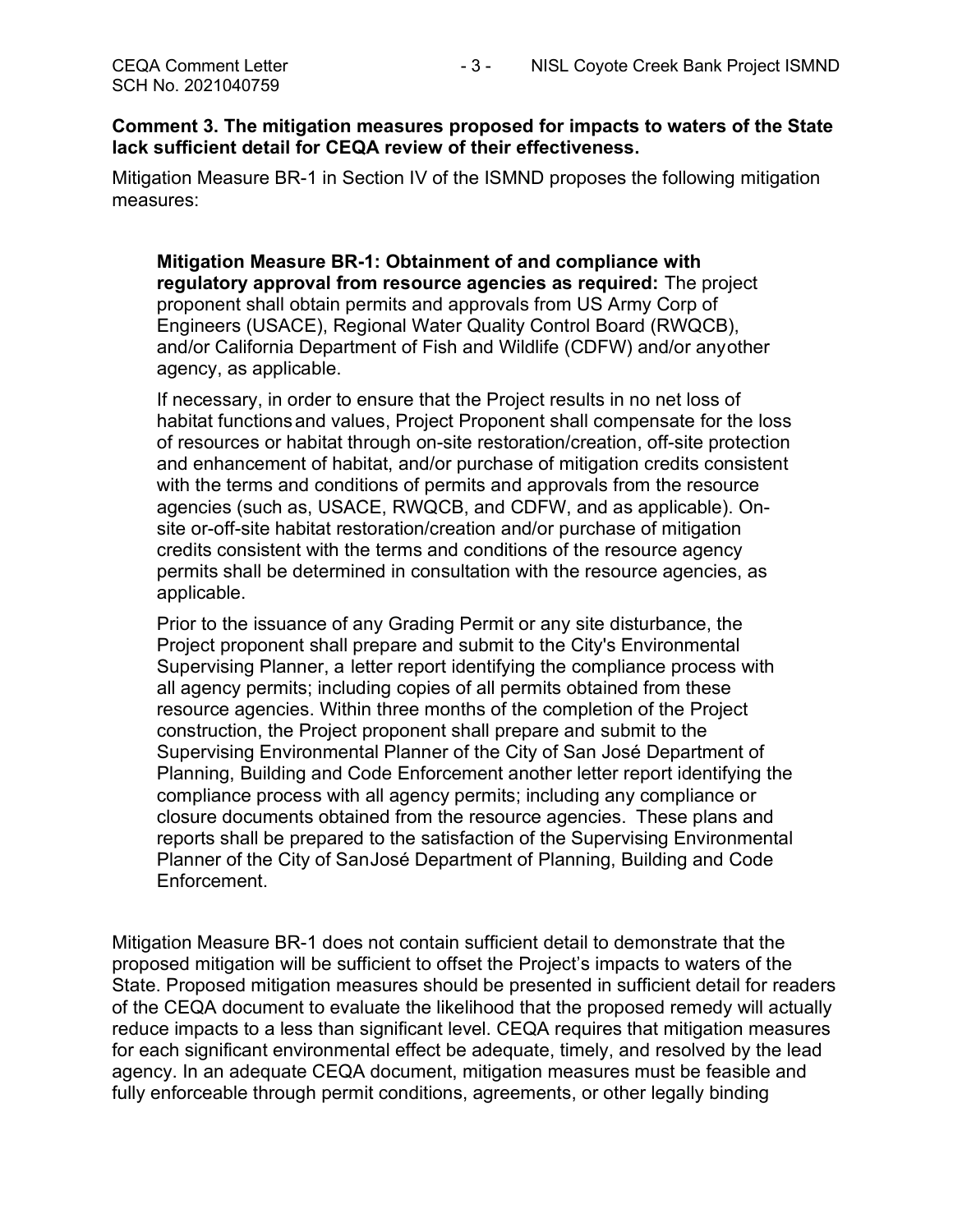#### Comment 3. The mitigation measures proposed for impacts to waters of the State lack sufficient detail for CEQA review of their effectiveness.

Mitigation Measure BR-1 in Section IV of the ISMND proposes the following mitigation measures:

Mitigation Measure BR-1: Obtainment of and compliance with regulatory approval from resource agencies as required: The project proponent shall obtain permits and approvals from US Army Corp of Engineers (USACE), Regional Water Quality Control Board (RWQCB), and/or California Department of Fish and Wildlife (CDFW) and/or any other agency, as applicable.

If necessary, in order to ensure that the Project results in no net loss of habitat functions and values, Project Proponent shall compensate for the loss of resources or habitat through on-site restoration/creation, off-site protection and enhancement of habitat, and/or purchase of mitigation credits consistent with the terms and conditions of permits and approvals from the resource agencies (such as, USACE, RWQCB, and CDFW, and as applicable). Onsite or-off-site habitat restoration/creation and/or purchase of mitigation credits consistent with the terms and conditions of the resource agency permits shall be determined in consultation with the resource agencies, as applicable.

Prior to the issuance of any Grading Permit or any site disturbance, the Project proponent shall prepare and submit to the City's Environmental Supervising Planner, a letter report identifying the compliance process with all agency permits; including copies of all permits obtained from these resource agencies. Within three months of the completion of the Project construction, the Project proponent shall prepare and submit to the Supervising Environmental Planner of the City of San José Department of Planning, Building and Code Enforcement another letter report identifying the compliance process with all agency permits; including any compliance or closure documents obtained from the resource agencies. These plans and reports shall be prepared to the satisfaction of the Supervising Environmental Planner of the City of San José Department of Planning, Building and Code Enforcement.

Mitigation Measure BR-1 does not contain sufficient detail to demonstrate that the proposed mitigation will be sufficient to offset the Project's impacts to waters of the State. Proposed mitigation measures should be presented in sufficient detail for readers of the CEQA document to evaluate the likelihood that the proposed remedy will actually reduce impacts to a less than significant level. CEQA requires that mitigation measures for each significant environmental effect be adequate, timely, and resolved by the lead agency. In an adequate CEQA document, mitigation measures must be feasible and fully enforceable through permit conditions, agreements, or other legally binding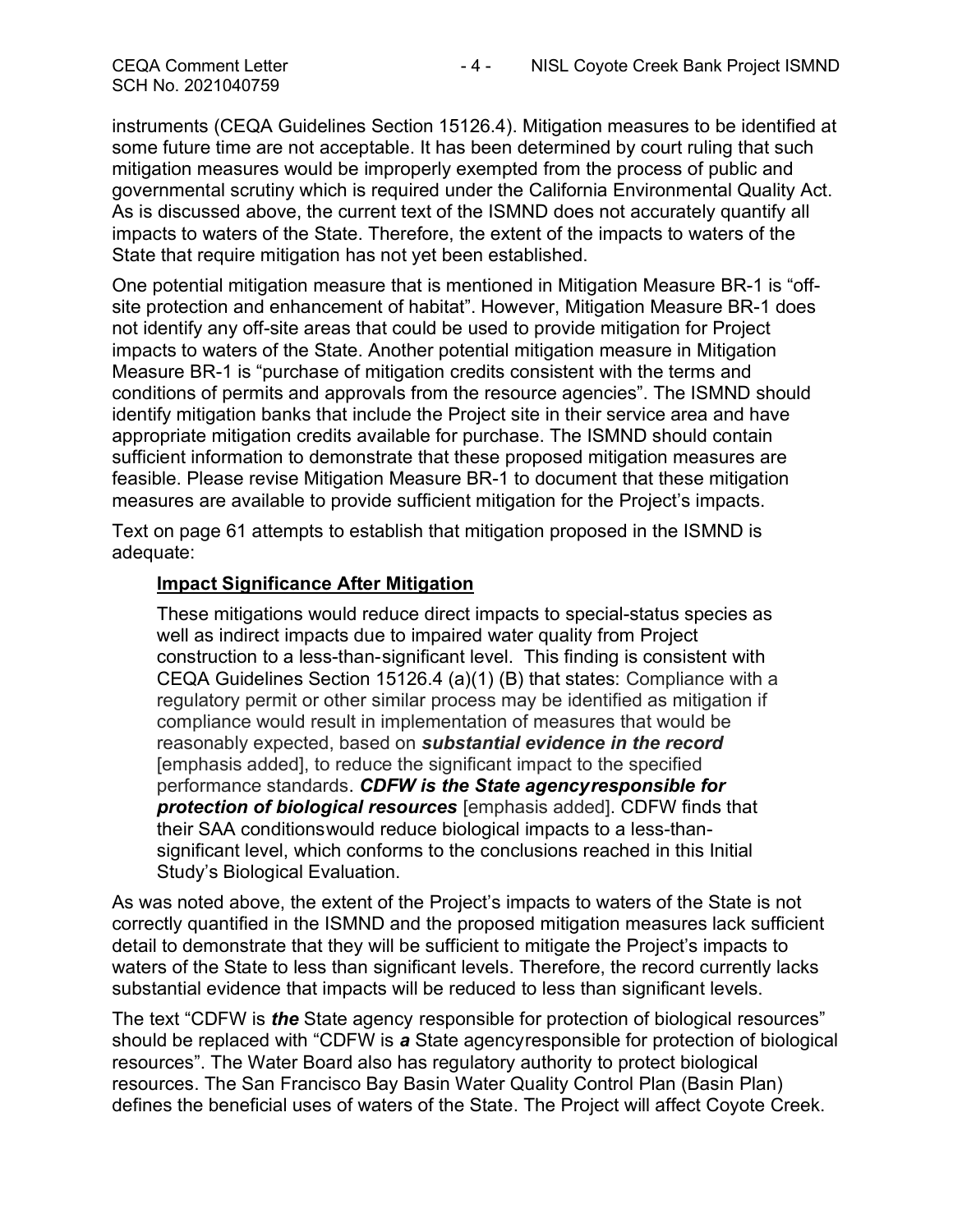SCH No. 2021040759

instruments (CEQA Guidelines Section 15126.4). Mitigation measures to be identified at some future time are not acceptable. It has been determined by court ruling that such mitigation measures would be improperly exempted from the process of public and governmental scrutiny which is required under the California Environmental Quality Act. As is discussed above, the current text of the ISMND does not accurately quantify all impacts to waters of the State. Therefore, the extent of the impacts to waters of the State that require mitigation has not yet been established.

One potential mitigation measure that is mentioned in Mitigation Measure BR-1 is "offsite protection and enhancement of habitat". However, Mitigation Measure BR-1 does not identify any off-site areas that could be used to provide mitigation for Project impacts to waters of the State. Another potential mitigation measure in Mitigation Measure BR-1 is "purchase of mitigation credits consistent with the terms and conditions of permits and approvals from the resource agencies". The ISMND should identify mitigation banks that include the Project site in their service area and have appropriate mitigation credits available for purchase. The ISMND should contain sufficient information to demonstrate that these proposed mitigation measures are feasible. Please revise Mitigation Measure BR-1 to document that these mitigation measures are available to provide sufficient mitigation for the Project's impacts.

Text on page 61 attempts to establish that mitigation proposed in the ISMND is adequate:

#### Impact Significance After Mitigation

These mitigations would reduce direct impacts to special-status species as well as indirect impacts due to impaired water quality from Project construction to a less-than- significant level. This finding is consistent with CEQA Guidelines Section 15126.4 (a)(1) (B) that states: Compliance with a regulatory permit or other similar process may be identified as mitigation if compliance would result in implementation of measures that would be reasonably expected, based on **substantial evidence in the record** [emphasis added], to reduce the significant impact to the specified performance standards. CDFW is the State agency responsible for **protection of biological resources** [emphasis added]. CDFW finds that their SAA conditions would reduce biological impacts to a less-thansignificant level, which conforms to the conclusions reached in this Initial Study's Biological Evaluation.

As was noted above, the extent of the Project's impacts to waters of the State is not correctly quantified in the ISMND and the proposed mitigation measures lack sufficient detail to demonstrate that they will be sufficient to mitigate the Project's impacts to waters of the State to less than significant levels. Therefore, the record currently lacks substantial evidence that impacts will be reduced to less than significant levels.

The text "CDFW is *the* State agency responsible for protection of biological resources" should be replaced with "CDFW is a State agency responsible for protection of biological resources". The Water Board also has regulatory authority to protect biological resources. The San Francisco Bay Basin Water Quality Control Plan (Basin Plan) defines the beneficial uses of waters of the State. The Project will affect Coyote Creek.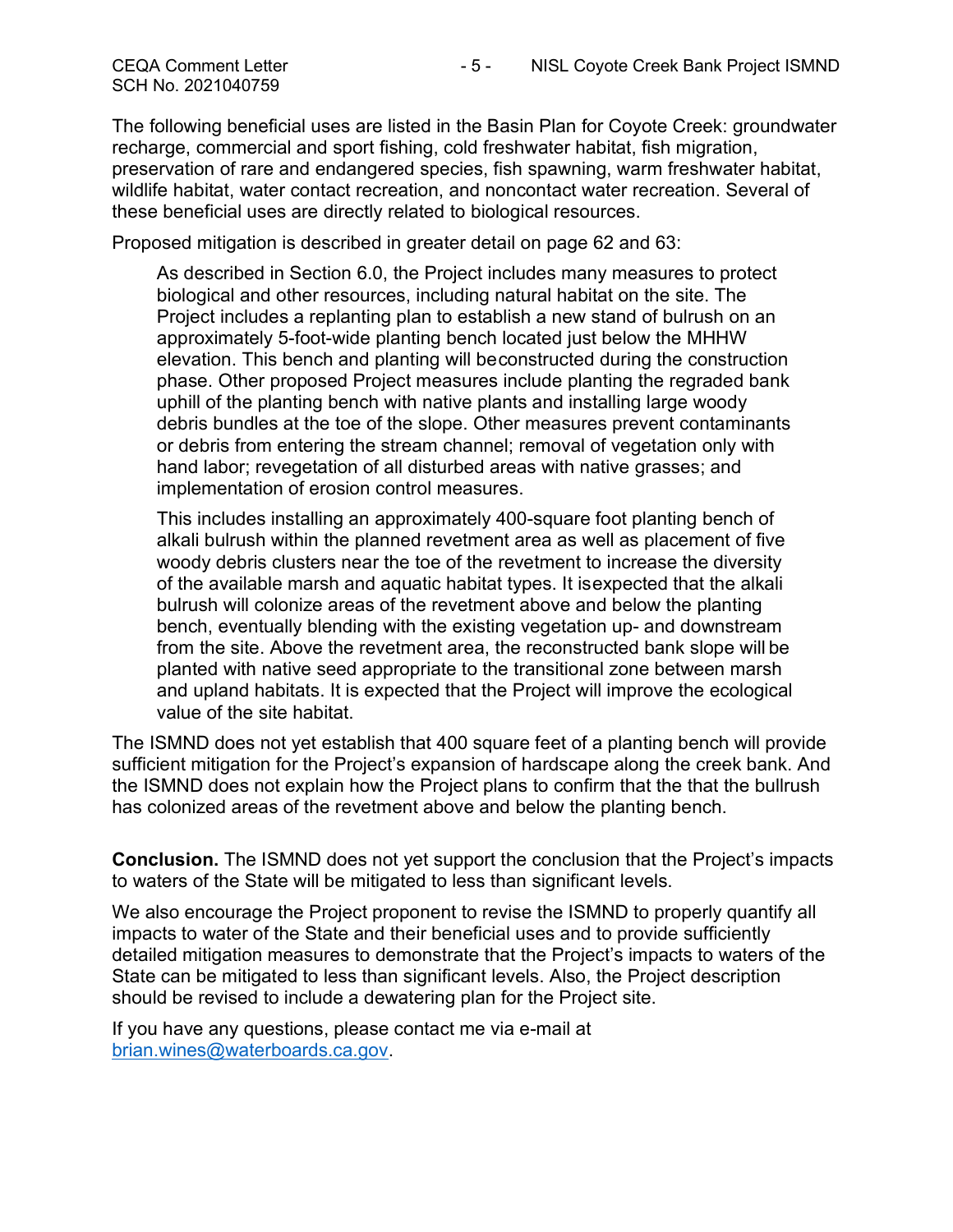The following beneficial uses are listed in the Basin Plan for Coyote Creek: groundwater recharge, commercial and sport fishing, cold freshwater habitat, fish migration, preservation of rare and endangered species, fish spawning, warm freshwater habitat, wildlife habitat, water contact recreation, and noncontact water recreation. Several of these beneficial uses are directly related to biological resources.

Proposed mitigation is described in greater detail on page 62 and 63:

As described in Section 6.0, the Project includes many measures to protect biological and other resources, including natural habitat on the site. The Project includes a replanting plan to establish a new stand of bulrush on an approximately 5-foot-wide planting bench located just below the MHHW elevation. This bench and planting will be constructed during the construction phase. Other proposed Project measures include planting the regraded bank uphill of the planting bench with native plants and installing large woody debris bundles at the toe of the slope. Other measures prevent contaminants or debris from entering the stream channel; removal of vegetation only with hand labor; revegetation of all disturbed areas with native grasses; and implementation of erosion control measures.

This includes installing an approximately 400-square foot planting bench of alkali bulrush within the planned revetment area as well as placement of five woody debris clusters near the toe of the revetment to increase the diversity of the available marsh and aquatic habitat types. It is expected that the alkali bulrush will colonize areas of the revetment above and below the planting bench, eventually blending with the existing vegetation up- and downstream from the site. Above the revetment area, the reconstructed bank slope will be planted with native seed appropriate to the transitional zone between marsh and upland habitats. It is expected that the Project will improve the ecological value of the site habitat.

The ISMND does not yet establish that 400 square feet of a planting bench will provide sufficient mitigation for the Project's expansion of hardscape along the creek bank. And the ISMND does not explain how the Project plans to confirm that the that the bullrush has colonized areas of the revetment above and below the planting bench.

Conclusion. The ISMND does not yet support the conclusion that the Project's impacts to waters of the State will be mitigated to less than significant levels.

We also encourage the Project proponent to revise the ISMND to properly quantify all impacts to water of the State and their beneficial uses and to provide sufficiently detailed mitigation measures to demonstrate that the Project's impacts to waters of the State can be mitigated to less than significant levels. Also, the Project description should be revised to include a dewatering plan for the Project site.

If you have any questions, please contact me via e-mail at brian.wines@waterboards.ca.gov.